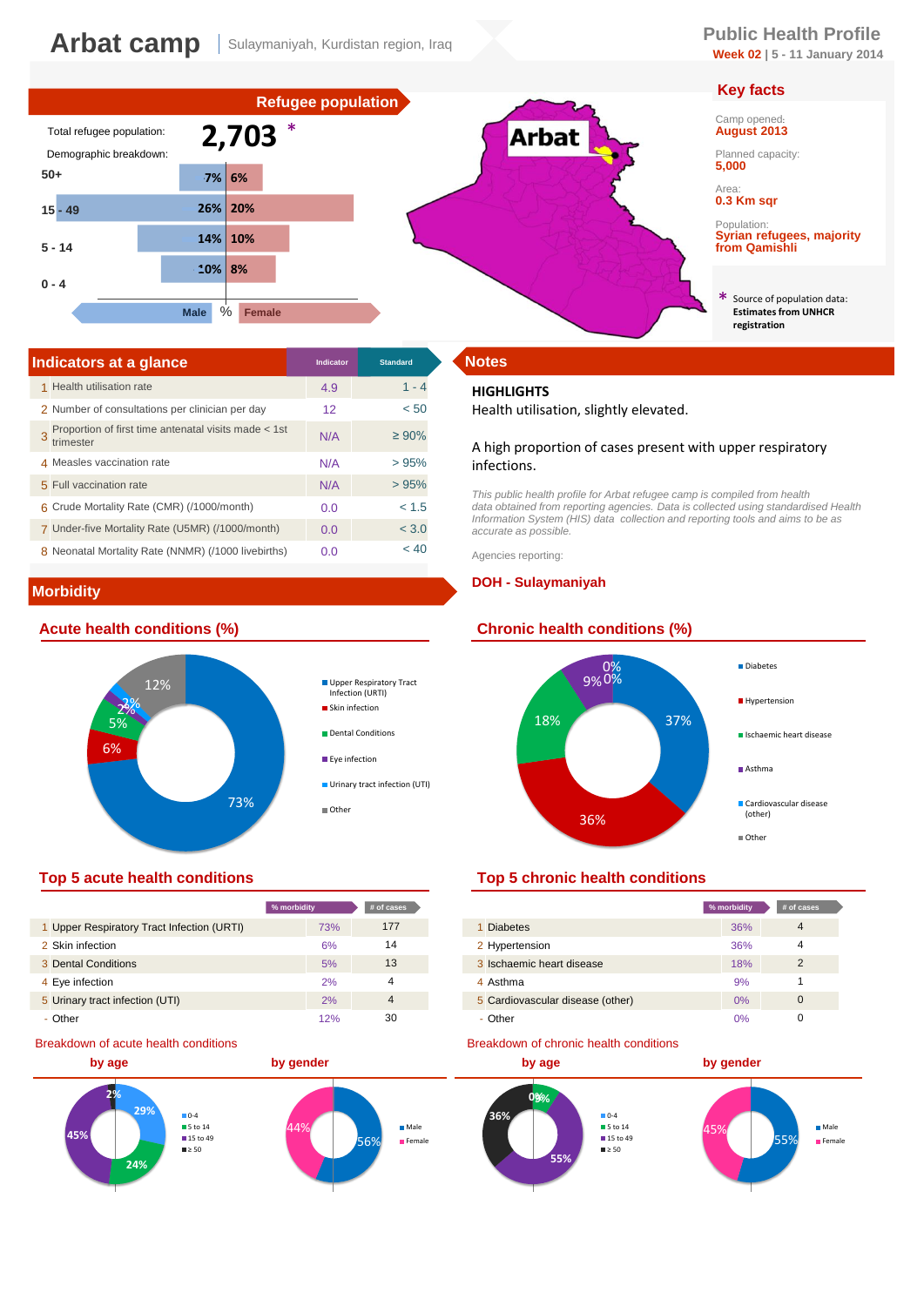# **Week 02 | 5 - 11 January 2014**

# **Key facts**

Camp opened: **August 2013**

Planned capacity: **5,000**

Area: **0.3 Km sqr**

Population: **Syrian refugees, majority from Qamishli**

Source of population data: **Estimates from UNHCR registration** \*



| Indicators at a glance                                            | Indicator | <b>Standard</b> | <b>Notes</b>       |
|-------------------------------------------------------------------|-----------|-----------------|--------------------|
| 1 Health utilisation rate                                         | 4.9       | $1 - 4$         | <b>HIGH</b>        |
| 2 Number of consultations per clinician per day                   | 12        | < 50            | Healt              |
| Proportion of first time antenatal visits made < 1st<br>trimester | N/A       | $\geq 90\%$     | A high             |
| 4 Measles vaccination rate                                        | N/A       | >95%            | infect             |
| 5 Full vaccination rate                                           | N/A       | >95%            | This pu            |
| 6 Crude Mortality Rate (CMR) (/1000/month)                        | 0.0       | < 1.5           | data ob            |
| 7 Under-five Mortality Rate (U5MR) (/1000/month)                  | 0.0       | < 3.0           | Informa<br>accurat |
| 8 Neonatal Mortality Rate (NNMR) (/1000 livebirths)               | 0.0       | < 40            | Agencie            |

# **Morbidity**





|                                            | % morbidity | # of cases     |
|--------------------------------------------|-------------|----------------|
| 1 Upper Respiratory Tract Infection (URTI) | 73%         | 177            |
| 2 Skin infection                           | 6%          | 14             |
| 3 Dental Conditions                        | 5%          | 13             |
| 4 Eye infection                            | 2%          |                |
| 5 Urinary tract infection (UTI)            | 2%          | $\overline{4}$ |
| - Other                                    | 12%         | 30             |

### Breakdown of acute health conditions



#### **HIGHLIGHTS**

Health utilisation, slightly elevated.

#### A high proportion of cases present with upper respiratory infections.

This public health profile for Arbat refugee camp is compiled from health<br>data obtained from reporting agencies. Data is collected using standardised Health<br>Information System (HIS) data collection and reporting tools and *accurate as possible.* 

Agencies reporting:

#### **DOH - Sulaymaniyah**



# **Top 5 acute health conditions Top 5 chronic health conditions**

| % morbidity |     | # of cases |                                  | % morbidity | # of cases    |
|-------------|-----|------------|----------------------------------|-------------|---------------|
|             | 73% | 177        | 1 Diabetes                       | 36%         | 4             |
|             | 6%  | 14         | 2 Hypertension                   | 36%         |               |
|             | 5%  | 13         | 3 Ischaemic heart disease        | 18%         | $\mathcal{P}$ |
|             | 2%  |            | 4 Asthma                         | 9%          |               |
|             | 2%  | 4          | 5 Cardiovascular disease (other) | $0\%$       | 0             |
|             | 12% | 30         | - Other                          | 0%          |               |

#### Breakdown of chronic health conditions